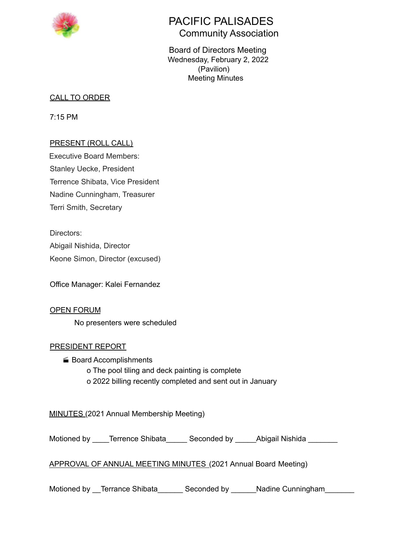

# PACIFIC PALISADES Community Association

Board of Directors Meeting Wednesday, February 2, 2022 (Pavilion) Meeting Minutes

# CALL TO ORDER

7:15 PM

# PRESENT (ROLL CALL)

Executive Board Members: Stanley Uecke, President Terrence Shibata, Vice President Nadine Cunningham, Treasurer Terri Smith, Secretary

Directors: Abigail Nishida, Director Keone Simon, Director (excused)

Office Manager: Kalei Fernandez

OPEN FORUM No presenters were scheduled

## PRESIDENT REPORT

■ Board Accomplishments o The pool tiling and deck painting is complete o 2022 billing recently completed and sent out in January

MINUTES (2021 Annual Membership Meeting)

Motioned by \_\_\_\_Terrence Shibata\_\_\_\_\_ Seconded by \_\_\_\_\_Abigail Nishida \_\_\_\_\_\_\_

APPROVAL OF ANNUAL MEETING MINUTES (2021 Annual Board Meeting)

Motioned by Terrance Shibata Seconded by Nadine Cunningham